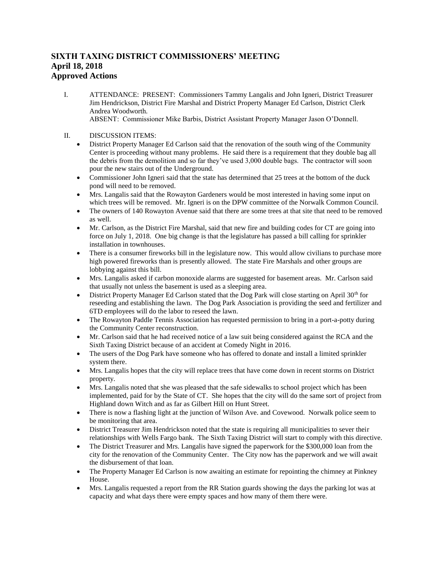## **SIXTH TAXING DISTRICT COMMISSIONERS' MEETING April 18, 2018 Approved Actions**

- I. ATTENDANCE: PRESENT: Commissioners Tammy Langalis and John Igneri, District Treasurer Jim Hendrickson, District Fire Marshal and District Property Manager Ed Carlson, District Clerk Andrea Woodworth. ABSENT: Commissioner Mike Barbis, District Assistant Property Manager Jason O'Donnell.
- II. DISCUSSION ITEMS:
	- District Property Manager Ed Carlson said that the renovation of the south wing of the Community Center is proceeding without many problems. He said there is a requirement that they double bag all the debris from the demolition and so far they've used 3,000 double bags. The contractor will soon pour the new stairs out of the Underground.
	- Commissioner John Igneri said that the state has determined that 25 trees at the bottom of the duck pond will need to be removed.
	- Mrs. Langalis said that the Rowayton Gardeners would be most interested in having some input on which trees will be removed. Mr. Igneri is on the DPW committee of the Norwalk Common Council.
	- The owners of 140 Rowayton Avenue said that there are some trees at that site that need to be removed as well.
	- Mr. Carlson, as the District Fire Marshal, said that new fire and building codes for CT are going into force on July 1, 2018. One big change is that the legislature has passed a bill calling for sprinkler installation in townhouses.
	- There is a consumer fireworks bill in the legislature now. This would allow civilians to purchase more high powered fireworks than is presently allowed. The state Fire Marshals and other groups are lobbying against this bill.
	- Mrs. Langalis asked if carbon monoxide alarms are suggested for basement areas. Mr. Carlson said that usually not unless the basement is used as a sleeping area.
	- District Property Manager Ed Carlson stated that the Dog Park will close starting on April  $30<sup>th</sup>$  for reseeding and establishing the lawn. The Dog Park Association is providing the seed and fertilizer and 6TD employees will do the labor to reseed the lawn.
	- The Rowayton Paddle Tennis Association has requested permission to bring in a port-a-potty during the Community Center reconstruction.
	- Mr. Carlson said that he had received notice of a law suit being considered against the RCA and the Sixth Taxing District because of an accident at Comedy Night in 2016.
	- The users of the Dog Park have someone who has offered to donate and install a limited sprinkler system there.
	- Mrs. Langalis hopes that the city will replace trees that have come down in recent storms on District property.
	- Mrs. Langalis noted that she was pleased that the safe sidewalks to school project which has been implemented, paid for by the State of CT. She hopes that the city will do the same sort of project from Highland down Witch and as far as Gilbert Hill on Hunt Street.
	- There is now a flashing light at the junction of Wilson Ave. and Covewood. Norwalk police seem to be monitoring that area.
	- District Treasurer Jim Hendrickson noted that the state is requiring all municipalities to sever their relationships with Wells Fargo bank. The Sixth Taxing District will start to comply with this directive.
	- The District Treasurer and Mrs. Langalis have signed the paperwork for the \$300,000 loan from the city for the renovation of the Community Center. The City now has the paperwork and we will await the disbursement of that loan.
	- The Property Manager Ed Carlson is now awaiting an estimate for repointing the chimney at Pinkney House.
	- Mrs. Langalis requested a report from the RR Station guards showing the days the parking lot was at capacity and what days there were empty spaces and how many of them there were.